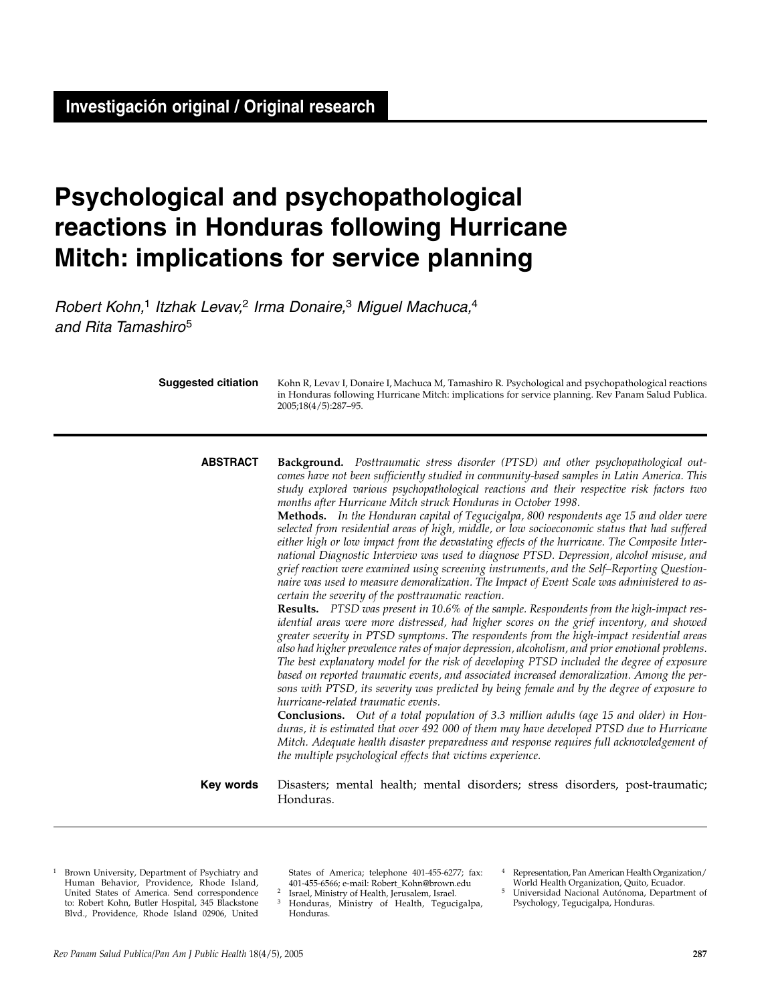# **Psychological and psychopathological reactions in Honduras following Hurricane Mitch: implications for service planning**

Robert Kohn,<sup>1</sup> Itzhak Levav,<sup>2</sup> Irma Donaire,<sup>3</sup> Miguel Machuca,<sup>4</sup> and Rita Tamashiro<sup>5</sup>

| <b>Suggested citiation</b> | Kohn R, Levav I, Donaire I, Machuca M, Tamashiro R. Psychological and psychopathological reactions<br>in Honduras following Hurricane Mitch: implications for service planning. Rev Panam Salud Publica.<br>2005;18(4/5):287-95.                                                                                                                                                                                                                                                                                                                                                                                                                                                                                                                                                                                                                                                                                                                                                                                                                                                                                                                                                                                                                                                                                                                                                                                                                                                                                                                                                                                                                                                                                                                                                                                                                                                                                                                                                                                                                                            |
|----------------------------|-----------------------------------------------------------------------------------------------------------------------------------------------------------------------------------------------------------------------------------------------------------------------------------------------------------------------------------------------------------------------------------------------------------------------------------------------------------------------------------------------------------------------------------------------------------------------------------------------------------------------------------------------------------------------------------------------------------------------------------------------------------------------------------------------------------------------------------------------------------------------------------------------------------------------------------------------------------------------------------------------------------------------------------------------------------------------------------------------------------------------------------------------------------------------------------------------------------------------------------------------------------------------------------------------------------------------------------------------------------------------------------------------------------------------------------------------------------------------------------------------------------------------------------------------------------------------------------------------------------------------------------------------------------------------------------------------------------------------------------------------------------------------------------------------------------------------------------------------------------------------------------------------------------------------------------------------------------------------------------------------------------------------------------------------------------------------------|
| <b>ABSTRACT</b>            | Background. Posttraumatic stress disorder (PTSD) and other psychopathological out-<br>comes have not been sufficiently studied in community-based samples in Latin America. This<br>study explored various psychopathological reactions and their respective risk factors two<br>months after Hurricane Mitch struck Honduras in October 1998.<br>Methods. In the Honduran capital of Tegucigalpa, 800 respondents age 15 and older were<br>selected from residential areas of high, middle, or low socioeconomic status that had suffered<br>either high or low impact from the devastating effects of the hurricane. The Composite Inter-<br>national Diagnostic Interview was used to diagnose PTSD. Depression, alcohol misuse, and<br>grief reaction were examined using screening instruments, and the Self-Reporting Question-<br>naire was used to measure demoralization. The Impact of Event Scale was administered to as-<br>certain the severity of the posttraumatic reaction.<br>Results. PTSD was present in 10.6% of the sample. Respondents from the high-impact res-<br>idential areas were more distressed, had higher scores on the grief inventory, and showed<br>greater severity in PTSD symptoms. The respondents from the high-impact residential areas<br>also had higher prevalence rates of major depression, alcoholism, and prior emotional problems.<br>The best explanatory model for the risk of developing PTSD included the degree of exposure<br>based on reported traumatic events, and associated increased demoralization. Among the per-<br>sons with PTSD, its severity was predicted by being female and by the degree of exposure to<br>hurricane-related traumatic events.<br>Conclusions. Out of a total population of 3.3 million adults (age 15 and older) in Hon-<br>duras, it is estimated that over 492 000 of them may have developed PTSD due to Hurricane<br>Mitch. Adequate health disaster preparedness and response requires full acknowledgement of<br>the multiple psychological effects that victims experience. |
| Key words                  | Disasters; mental health; mental disorders; stress disorders, post-traumatic;<br>Honduras.                                                                                                                                                                                                                                                                                                                                                                                                                                                                                                                                                                                                                                                                                                                                                                                                                                                                                                                                                                                                                                                                                                                                                                                                                                                                                                                                                                                                                                                                                                                                                                                                                                                                                                                                                                                                                                                                                                                                                                                  |

<sup>1</sup> Brown University, Department of Psychiatry and Human Behavior, Providence, Rhode Island, United States of America. Send correspondence to: Robert Kohn, Butler Hospital, 345 Blackstone Blvd., Providence, Rhode Island 02906, United

States of America; telephone 401-455-6277; fax:

<sup>2</sup> Israel, Ministry of Health, Jerusalem, Israel.  $\frac{3}{3}$  Honduras, Ministry of Health, Tegucigalpa, Honduras.

<sup>4</sup> Representation, Pan American Health Organization/

World Health Organization, Quito, Ecuador. 5 Universidad Nacional Autónoma, Department of Psychology, Tegucigalpa, Honduras.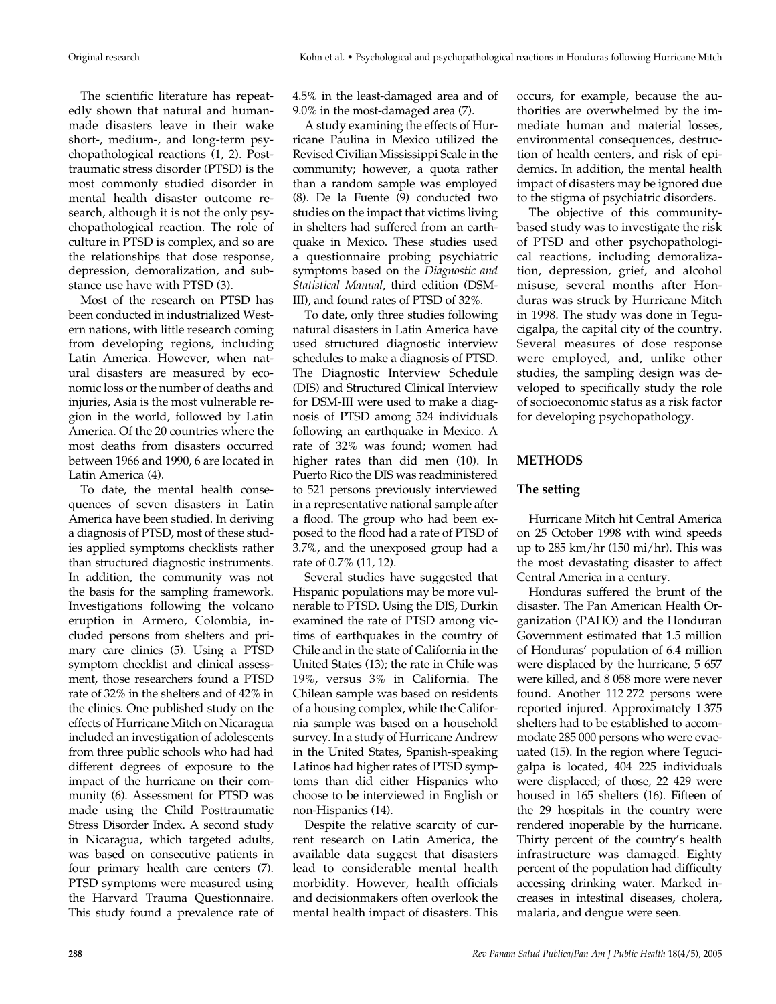The scientific literature has repeatedly shown that natural and humanmade disasters leave in their wake short-, medium-, and long-term psychopathological reactions (1, 2). Posttraumatic stress disorder (PTSD) is the most commonly studied disorder in mental health disaster outcome research, although it is not the only psychopathological reaction. The role of culture in PTSD is complex, and so are the relationships that dose response, depression, demoralization, and substance use have with PTSD (3).

Most of the research on PTSD has been conducted in industrialized Western nations, with little research coming from developing regions, including Latin America. However, when natural disasters are measured by economic loss or the number of deaths and injuries, Asia is the most vulnerable region in the world, followed by Latin America. Of the 20 countries where the most deaths from disasters occurred between 1966 and 1990, 6 are located in Latin America (4).

To date, the mental health consequences of seven disasters in Latin America have been studied. In deriving a diagnosis of PTSD, most of these studies applied symptoms checklists rather than structured diagnostic instruments. In addition, the community was not the basis for the sampling framework. Investigations following the volcano eruption in Armero, Colombia, included persons from shelters and primary care clinics (5). Using a PTSD symptom checklist and clinical assessment, those researchers found a PTSD rate of 32% in the shelters and of 42% in the clinics. One published study on the effects of Hurricane Mitch on Nicaragua included an investigation of adolescents from three public schools who had had different degrees of exposure to the impact of the hurricane on their community (6). Assessment for PTSD was made using the Child Posttraumatic Stress Disorder Index. A second study in Nicaragua, which targeted adults, was based on consecutive patients in four primary health care centers (7). PTSD symptoms were measured using the Harvard Trauma Questionnaire. This study found a prevalence rate of

4.5% in the least-damaged area and of 9.0% in the most-damaged area (7).

A study examining the effects of Hurricane Paulina in Mexico utilized the Revised Civilian Mississippi Scale in the community; however, a quota rather than a random sample was employed (8). De la Fuente (9) conducted two studies on the impact that victims living in shelters had suffered from an earthquake in Mexico. These studies used a questionnaire probing psychiatric symptoms based on the *Diagnostic and Statistical Manual*, third edition (DSM-III), and found rates of PTSD of 32%.

To date, only three studies following natural disasters in Latin America have used structured diagnostic interview schedules to make a diagnosis of PTSD. The Diagnostic Interview Schedule (DIS) and Structured Clinical Interview for DSM-III were used to make a diagnosis of PTSD among 524 individuals following an earthquake in Mexico. A rate of 32% was found; women had higher rates than did men (10). In Puerto Rico the DIS was readministered to 521 persons previously interviewed in a representative national sample after a flood. The group who had been exposed to the flood had a rate of PTSD of 3.7%, and the unexposed group had a rate of 0.7% (11, 12).

Several studies have suggested that Hispanic populations may be more vulnerable to PTSD. Using the DIS, Durkin examined the rate of PTSD among victims of earthquakes in the country of Chile and in the state of California in the United States (13); the rate in Chile was 19%, versus 3% in California. The Chilean sample was based on residents of a housing complex, while the California sample was based on a household survey. In a study of Hurricane Andrew in the United States, Spanish-speaking Latinos had higher rates of PTSD symptoms than did either Hispanics who choose to be interviewed in English or non-Hispanics (14).

Despite the relative scarcity of current research on Latin America, the available data suggest that disasters lead to considerable mental health morbidity. However, health officials and decisionmakers often overlook the mental health impact of disasters. This

occurs, for example, because the authorities are overwhelmed by the immediate human and material losses, environmental consequences, destruction of health centers, and risk of epidemics. In addition, the mental health impact of disasters may be ignored due to the stigma of psychiatric disorders.

The objective of this communitybased study was to investigate the risk of PTSD and other psychopathological reactions, including demoralization, depression, grief, and alcohol misuse, several months after Honduras was struck by Hurricane Mitch in 1998. The study was done in Tegucigalpa, the capital city of the country. Several measures of dose response were employed, and, unlike other studies, the sampling design was developed to specifically study the role of socioeconomic status as a risk factor for developing psychopathology.

# **METHODS**

# **The setting**

Hurricane Mitch hit Central America on 25 October 1998 with wind speeds up to 285 km/hr (150 mi/hr). This was the most devastating disaster to affect Central America in a century.

Honduras suffered the brunt of the disaster. The Pan American Health Organization (PAHO) and the Honduran Government estimated that 1.5 million of Honduras' population of 6.4 million were displaced by the hurricane, 5 657 were killed, and 8 058 more were never found. Another 112 272 persons were reported injured. Approximately 1 375 shelters had to be established to accommodate 285 000 persons who were evacuated (15). In the region where Tegucigalpa is located, 404 225 individuals were displaced; of those, 22 429 were housed in 165 shelters (16). Fifteen of the 29 hospitals in the country were rendered inoperable by the hurricane. Thirty percent of the country's health infrastructure was damaged. Eighty percent of the population had difficulty accessing drinking water. Marked increases in intestinal diseases, cholera, malaria, and dengue were seen.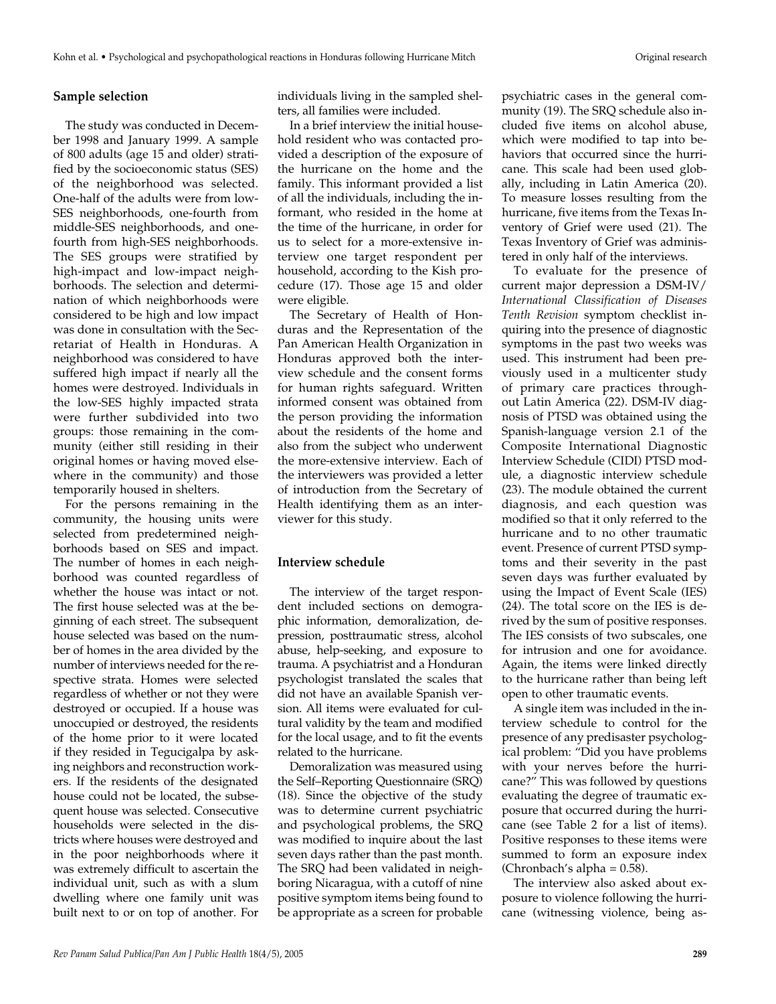#### **Sample selection**

The study was conducted in December 1998 and January 1999. A sample of 800 adults (age 15 and older) stratified by the socioeconomic status (SES) of the neighborhood was selected. One-half of the adults were from low-SES neighborhoods, one-fourth from middle-SES neighborhoods, and onefourth from high-SES neighborhoods. The SES groups were stratified by high-impact and low-impact neighborhoods. The selection and determination of which neighborhoods were considered to be high and low impact was done in consultation with the Secretariat of Health in Honduras. A neighborhood was considered to have suffered high impact if nearly all the homes were destroyed. Individuals in the low-SES highly impacted strata were further subdivided into two groups: those remaining in the community (either still residing in their original homes or having moved elsewhere in the community) and those temporarily housed in shelters.

For the persons remaining in the community, the housing units were selected from predetermined neighborhoods based on SES and impact. The number of homes in each neighborhood was counted regardless of whether the house was intact or not. The first house selected was at the beginning of each street. The subsequent house selected was based on the number of homes in the area divided by the number of interviews needed for the respective strata. Homes were selected regardless of whether or not they were destroyed or occupied. If a house was unoccupied or destroyed, the residents of the home prior to it were located if they resided in Tegucigalpa by asking neighbors and reconstruction workers. If the residents of the designated house could not be located, the subsequent house was selected. Consecutive households were selected in the districts where houses were destroyed and in the poor neighborhoods where it was extremely difficult to ascertain the individual unit, such as with a slum dwelling where one family unit was built next to or on top of another. For

individuals living in the sampled shelters, all families were included.

In a brief interview the initial household resident who was contacted provided a description of the exposure of the hurricane on the home and the family. This informant provided a list of all the individuals, including the informant, who resided in the home at the time of the hurricane, in order for us to select for a more-extensive interview one target respondent per household, according to the Kish procedure (17). Those age 15 and older were eligible.

The Secretary of Health of Honduras and the Representation of the Pan American Health Organization in Honduras approved both the interview schedule and the consent forms for human rights safeguard. Written informed consent was obtained from the person providing the information about the residents of the home and also from the subject who underwent the more-extensive interview. Each of the interviewers was provided a letter of introduction from the Secretary of Health identifying them as an interviewer for this study.

# **Interview schedule**

The interview of the target respondent included sections on demographic information, demoralization, depression, posttraumatic stress, alcohol abuse, help-seeking, and exposure to trauma. A psychiatrist and a Honduran psychologist translated the scales that did not have an available Spanish version. All items were evaluated for cultural validity by the team and modified for the local usage, and to fit the events related to the hurricane.

Demoralization was measured using the Self–Reporting Questionnaire (SRQ) (18). Since the objective of the study was to determine current psychiatric and psychological problems, the SRQ was modified to inquire about the last seven days rather than the past month. The SRQ had been validated in neighboring Nicaragua, with a cutoff of nine positive symptom items being found to be appropriate as a screen for probable

psychiatric cases in the general community (19). The SRQ schedule also included five items on alcohol abuse, which were modified to tap into behaviors that occurred since the hurricane. This scale had been used globally, including in Latin America (20). To measure losses resulting from the hurricane, five items from the Texas Inventory of Grief were used (21). The Texas Inventory of Grief was administered in only half of the interviews.

To evaluate for the presence of current major depression a DSM-IV/ *International Classification of Diseases Tenth Revision* symptom checklist inquiring into the presence of diagnostic symptoms in the past two weeks was used. This instrument had been previously used in a multicenter study of primary care practices throughout Latin America (22). DSM-IV diagnosis of PTSD was obtained using the Spanish-language version 2.1 of the Composite International Diagnostic Interview Schedule (CIDI) PTSD module, a diagnostic interview schedule (23). The module obtained the current diagnosis, and each question was modified so that it only referred to the hurricane and to no other traumatic event. Presence of current PTSD symptoms and their severity in the past seven days was further evaluated by using the Impact of Event Scale (IES) (24). The total score on the IES is derived by the sum of positive responses. The IES consists of two subscales, one for intrusion and one for avoidance. Again, the items were linked directly to the hurricane rather than being left open to other traumatic events.

A single item was included in the interview schedule to control for the presence of any predisaster psychological problem: "Did you have problems with your nerves before the hurricane?" This was followed by questions evaluating the degree of traumatic exposure that occurred during the hurricane (see Table 2 for a list of items). Positive responses to these items were summed to form an exposure index (Chronbach's alpha  $= 0.58$ ).

The interview also asked about exposure to violence following the hurricane (witnessing violence, being as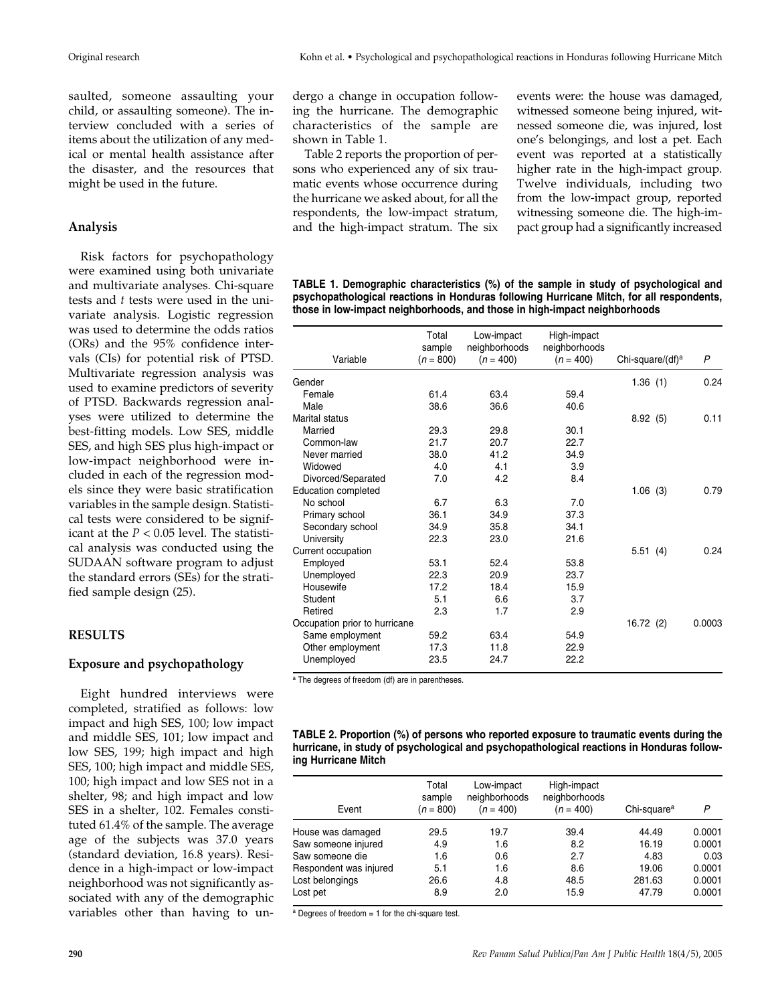saulted, someone assaulting your child, or assaulting someone). The interview concluded with a series of items about the utilization of any medical or mental health assistance after the disaster, and the resources that might be used in the future.

### **Analysis**

Risk factors for psychopathology were examined using both univariate and multivariate analyses. Chi-square tests and *t* tests were used in the univariate analysis. Logistic regression was used to determine the odds ratios (ORs) and the 95% confidence intervals (CIs) for potential risk of PTSD. Multivariate regression analysis was used to examine predictors of severity of PTSD. Backwards regression analyses were utilized to determine the best-fitting models. Low SES, middle SES, and high SES plus high-impact or low-impact neighborhood were included in each of the regression models since they were basic stratification variables in the sample design. Statistical tests were considered to be significant at the *P* < 0.05 level. The statistical analysis was conducted using the SUDAAN software program to adjust the standard errors (SEs) for the stratified sample design (25).

#### **RESULTS**

#### **Exposure and psychopathology**

Eight hundred interviews were completed, stratified as follows: low impact and high SES, 100; low impact and middle SES, 101; low impact and low SES, 199; high impact and high SES, 100; high impact and middle SES, 100; high impact and low SES not in a shelter, 98; and high impact and low SES in a shelter, 102. Females constituted 61.4% of the sample. The average age of the subjects was 37.0 years (standard deviation, 16.8 years). Residence in a high-impact or low-impact neighborhood was not significantly associated with any of the demographic variables other than having to un-

dergo a change in occupation following the hurricane. The demographic characteristics of the sample are shown in Table 1.

Table 2 reports the proportion of persons who experienced any of six traumatic events whose occurrence during the hurricane we asked about, for all the respondents, the low-impact stratum, and the high-impact stratum. The six events were: the house was damaged, witnessed someone being injured, witnessed someone die, was injured, lost one's belongings, and lost a pet. Each event was reported at a statistically higher rate in the high-impact group. Twelve individuals, including two from the low-impact group, reported witnessing someone die. The high-impact group had a significantly increased

**TABLE 1. Demographic characteristics (%) of the sample in study of psychological and psychopathological reactions in Honduras following Hurricane Mitch, for all respondents, those in low-impact neighborhoods, and those in high-impact neighborhoods** 

|                               | Total<br>sample | Low-impact<br>neighborhoods | High-impact<br>neighborhoods |                              |              |
|-------------------------------|-----------------|-----------------------------|------------------------------|------------------------------|--------------|
| Variable                      | $(n = 800)$     | $(n = 400)$                 | $(n = 400)$                  | Chi-square/(df) <sup>a</sup> | $\mathsf{P}$ |
| Gender                        |                 |                             |                              | 1.36(1)                      | 0.24         |
| Female                        | 61.4            | 63.4                        | 59.4                         |                              |              |
| Male                          | 38.6            | 36.6                        | 40.6                         |                              |              |
| Marital status                |                 |                             |                              | 8.92(5)                      | 0.11         |
| Married                       | 29.3            | 29.8                        | 30.1                         |                              |              |
| Common-law                    | 21.7            | 20.7                        | 22.7                         |                              |              |
| Never married                 | 38.0            | 41.2                        | 34.9                         |                              |              |
| Widowed                       | 4.0             | 4.1                         | 3.9                          |                              |              |
| Divorced/Separated            | 7.0             | 4.2                         | 8.4                          |                              |              |
| <b>Education completed</b>    |                 |                             |                              | 1.06(3)                      | 0.79         |
| No school                     | 6.7             | 6.3                         | 7.0                          |                              |              |
| Primary school                | 36.1            | 34.9                        | 37.3                         |                              |              |
| Secondary school              | 34.9            | 35.8                        | 34.1                         |                              |              |
| University                    | 22.3            | 23.0                        | 21.6                         |                              |              |
| Current occupation            |                 |                             |                              | 5.51(4)                      | 0.24         |
| Employed                      | 53.1            | 52.4                        | 53.8                         |                              |              |
| Unemployed                    | 22.3            | 20.9                        | 23.7                         |                              |              |
| Housewife                     | 17.2            | 18.4                        | 15.9                         |                              |              |
| Student                       | 5.1             | 6.6                         | 3.7                          |                              |              |
| Retired                       | 2.3             | 1.7                         | 2.9                          |                              |              |
| Occupation prior to hurricane |                 |                             |                              | 16.72(2)                     | 0.0003       |
| Same employment               | 59.2            | 63.4                        | 54.9                         |                              |              |
| Other employment              | 17.3            | 11.8                        | 22.9                         |                              |              |
| Unemployed                    | 23.5            | 24.7                        | 22.2                         |                              |              |

a The degrees of freedom (df) are in parentheses.

| TABLE 2. Proportion (%) of persons who reported exposure to traumatic events during the   |  |
|-------------------------------------------------------------------------------------------|--|
| hurricane, in study of psychological and psychopathological reactions in Honduras follow- |  |
| ing Hurricane Mitch                                                                       |  |

| Event                  | Total<br>sample<br>$(n = 800)$ | Low-impact<br>neighborhoods<br>$(n = 400)$ | High-impact<br>neighborhoods<br>$(n = 400)$ | Chi-square <sup>a</sup> | Ρ      |
|------------------------|--------------------------------|--------------------------------------------|---------------------------------------------|-------------------------|--------|
| House was damaged      | 29.5                           | 19.7                                       | 39.4                                        | 44.49                   | 0.0001 |
| Saw someone injured    | 4.9                            | 1.6                                        | 8.2                                         | 16.19                   | 0.0001 |
| Saw someone die        | 1.6                            | 0.6                                        | 2.7                                         | 4.83                    | 0.03   |
| Respondent was injured | 5.1                            | 1.6                                        | 8.6                                         | 19.06                   | 0.0001 |
| Lost belongings        | 26.6                           | 4.8                                        | 48.5                                        | 281.63                  | 0.0001 |
| Lost pet               | 8.9                            | 2.0                                        | 15.9                                        | 47.79                   | 0.0001 |
|                        |                                |                                            |                                             |                         |        |

 $a$  Degrees of freedom = 1 for the chi-square test.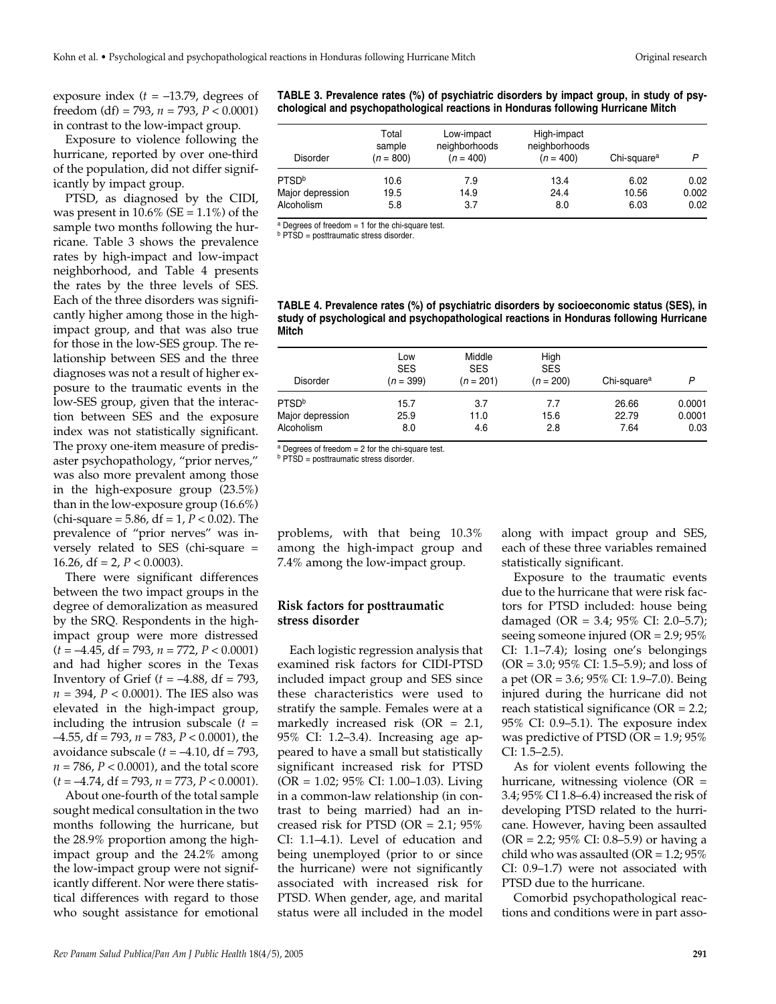exposure index  $(t = -13.79)$ , degrees of freedom (df) = 793, *n* = 793, *P* < 0.0001) in contrast to the low-impact group.

Exposure to violence following the hurricane, reported by over one-third of the population, did not differ significantly by impact group.

PTSD, as diagnosed by the CIDI, was present in  $10.6\%$  (SE =  $1.1\%$ ) of the sample two months following the hurricane. Table 3 shows the prevalence rates by high-impact and low-impact neighborhood, and Table 4 presents the rates by the three levels of SES. Each of the three disorders was significantly higher among those in the highimpact group, and that was also true for those in the low-SES group. The relationship between SES and the three diagnoses was not a result of higher exposure to the traumatic events in the low-SES group, given that the interaction between SES and the exposure index was not statistically significant. The proxy one-item measure of predisaster psychopathology, "prior nerves," was also more prevalent among those in the high-exposure group (23.5%) than in the low-exposure group (16.6%) (chi-square =  $5.86$ , df =  $1, P < 0.02$ ). The prevalence of "prior nerves" was inversely related to SES (chi-square = 16.26, df = 2,  $P < 0.0003$ ).

There were significant differences between the two impact groups in the degree of demoralization as measured by the SRQ. Respondents in the highimpact group were more distressed (*t* = –4.45, df = 793, *n* = 772, *P* < 0.0001) and had higher scores in the Texas Inventory of Grief  $(t = -4.88, df = 793,$ *n* = 394, *P* < 0.0001). The IES also was elevated in the high-impact group, including the intrusion subscale (*t* = –4.55, df = 793, *n* = 783, *P* < 0.0001), the avoidance subscale  $(t = -4.10, df = 793,$ *n* = 786, *P* < 0.0001), and the total score (*t* = –4.74, df = 793, *n* = 773, *P* < 0.0001).

About one-fourth of the total sample sought medical consultation in the two months following the hurricane, but the 28.9% proportion among the highimpact group and the 24.2% among the low-impact group were not significantly different. Nor were there statistical differences with regard to those who sought assistance for emotional **TABLE 3. Prevalence rates (%) of psychiatric disorders by impact group, in study of psychological and psychopathological reactions in Honduras following Hurricane Mitch** 

| <b>Disorder</b>   | Total<br>sample<br>$(n = 800)$ | Low-impact<br>neighborhoods<br>$(n = 400)$ | High-impact<br>neighborhoods<br>$(n = 400)$ | Chi-square <sup>a</sup> | P     |
|-------------------|--------------------------------|--------------------------------------------|---------------------------------------------|-------------------------|-------|
| PTSD <sup>b</sup> | 10.6                           | 7.9                                        | 13.4                                        | 6.02                    | 0.02  |
| Major depression  | 19.5                           | 14.9                                       | 24.4                                        | 10.56                   | 0.002 |
| Alcoholism        | 5.8                            | 3.7                                        | 8.0                                         | 6.03                    | 0.02  |

 $a$  Degrees of freedom = 1 for the chi-square test.

**b** PTSD = posttraumatic stress disorder.

**TABLE 4. Prevalence rates (%) of psychiatric disorders by socioeconomic status (SES), in study of psychological and psychopathological reactions in Honduras following Hurricane Mitch** 

| <b>Disorder</b>   | Low<br><b>SES</b><br>$(n = 399)$ | Middle<br><b>SES</b><br>$(n = 201)$ | High<br><b>SES</b><br>$(n = 200)$ | Chi-square <sup>a</sup> | P      |
|-------------------|----------------------------------|-------------------------------------|-----------------------------------|-------------------------|--------|
| PTSD <sup>b</sup> | 15.7                             | 3.7                                 | 7.7                               | 26.66                   | 0.0001 |
| Major depression  | 25.9                             | 11.0                                | 15.6                              | 22.79                   | 0.0001 |
| Alcoholism        | 8.0                              | 4.6                                 | 2.8                               | 7.64                    | 0.03   |

 $a$  Degrees of freedom  $= 2$  for the chi-square test.

**b** PTSD = posttraumatic stress disorder.

problems, with that being 10.3% among the high-impact group and 7.4% among the low-impact group.

### **Risk factors for posttraumatic stress disorder**

Each logistic regression analysis that examined risk factors for CIDI-PTSD included impact group and SES since these characteristics were used to stratify the sample. Females were at a markedly increased risk (OR = 2.1, 95% CI: 1.2–3.4). Increasing age appeared to have a small but statistically significant increased risk for PTSD (OR = 1.02; 95% CI: 1.00–1.03). Living in a common-law relationship (in contrast to being married) had an increased risk for PTSD (OR  $= 2.1$ ; 95% CI: 1.1–4.1). Level of education and being unemployed (prior to or since the hurricane) were not significantly associated with increased risk for PTSD. When gender, age, and marital status were all included in the model

along with impact group and SES, each of these three variables remained statistically significant.

Exposure to the traumatic events due to the hurricane that were risk factors for PTSD included: house being damaged (OR = 3.4; 95% CI: 2.0–5.7); seeing someone injured (OR = 2.9; 95% CI: 1.1–7.4); losing one's belongings (OR = 3.0; 95% CI: 1.5–5.9); and loss of a pet (OR = 3.6; 95% CI: 1.9–7.0). Being injured during the hurricane did not reach statistical significance ( $OR = 2.2$ ; 95% CI: 0.9–5.1). The exposure index was predictive of PTSD (OR = 1.9; 95% CI: 1.5–2.5).

As for violent events following the hurricane, witnessing violence (OR = 3.4; 95% CI 1.8–6.4) increased the risk of developing PTSD related to the hurricane. However, having been assaulted  $(OR = 2.2; 95\% CI: 0.8–5.9)$  or having a child who was assaulted (OR =  $1.2$ ; 95% CI: 0.9–1.7) were not associated with PTSD due to the hurricane.

Comorbid psychopathological reactions and conditions were in part asso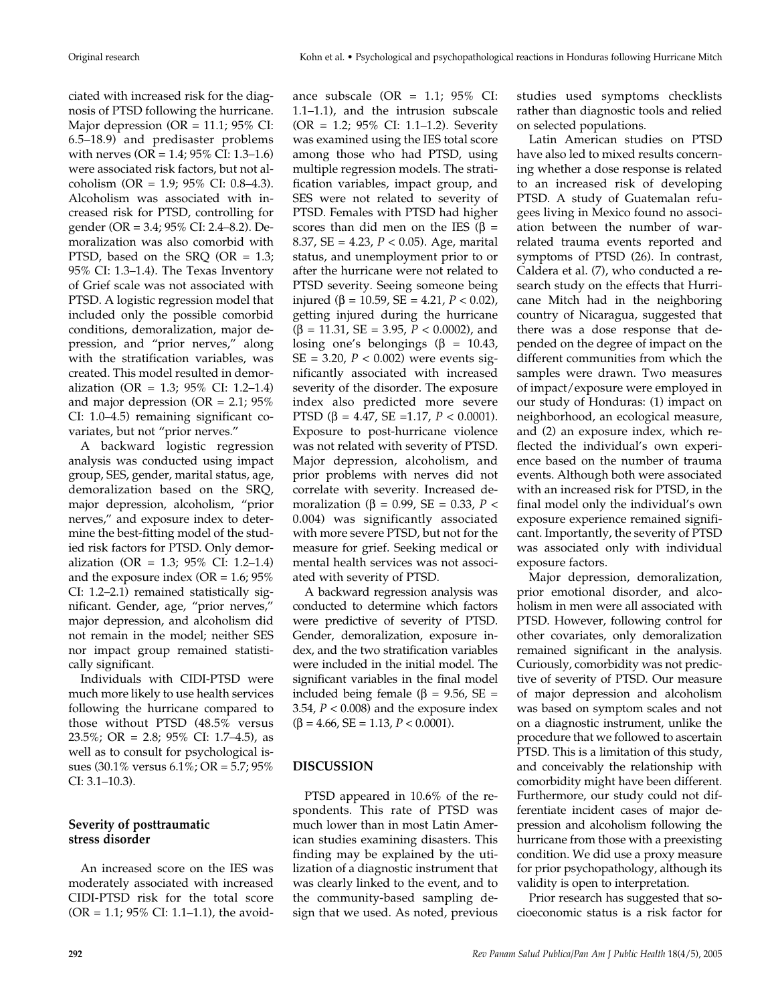ciated with increased risk for the diagnosis of PTSD following the hurricane. Major depression (OR = 11.1;  $95\%$  CI: 6.5–18.9) and predisaster problems with nerves (OR = 1.4; 95% CI: 1.3–1.6) were associated risk factors, but not alcoholism (OR = 1.9; 95% CI: 0.8–4.3). Alcoholism was associated with increased risk for PTSD, controlling for gender (OR = 3.4; 95% CI: 2.4–8.2). Demoralization was also comorbid with PTSD, based on the SRQ (OR = 1.3; 95% CI: 1.3–1.4). The Texas Inventory of Grief scale was not associated with PTSD. A logistic regression model that included only the possible comorbid conditions, demoralization, major depression, and "prior nerves," along with the stratification variables, was created. This model resulted in demoralization (OR = 1.3; 95% CI: 1.2–1.4) and major depression (OR =  $2.1$ ;  $95\%$ CI: 1.0–4.5) remaining significant covariates, but not "prior nerves."

A backward logistic regression analysis was conducted using impact group, SES, gender, marital status, age, demoralization based on the SRQ, major depression, alcoholism, "prior nerves," and exposure index to determine the best-fitting model of the studied risk factors for PTSD. Only demoralization (OR = 1.3; 95% CI: 1.2–1.4) and the exposure index (OR =  $1.6$ ;  $95\%$ CI: 1.2–2.1) remained statistically significant. Gender, age, "prior nerves," major depression, and alcoholism did not remain in the model; neither SES nor impact group remained statistically significant.

Individuals with CIDI-PTSD were much more likely to use health services following the hurricane compared to those without PTSD (48.5% versus 23.5%; OR = 2.8; 95% CI: 1.7–4.5), as well as to consult for psychological issues (30.1% versus 6.1%; OR = 5.7; 95% CI: 3.1–10.3).

# **Severity of posttraumatic stress disorder**

An increased score on the IES was moderately associated with increased CIDI-PTSD risk for the total score  $(OR = 1.1; 95\% CI: 1.1–1.1)$ , the avoidance subscale  $(OR = 1.1; 95\% \text{ CI}:$ 1.1–1.1), and the intrusion subscale (OR = 1.2; 95% CI: 1.1–1.2). Severity was examined using the IES total score among those who had PTSD, using multiple regression models. The stratification variables, impact group, and SES were not related to severity of PTSD. Females with PTSD had higher scores than did men on the IES ( $\beta$  = 8.37, SE = 4.23, *P* < 0.05). Age, marital status, and unemployment prior to or after the hurricane were not related to PTSD severity. Seeing someone being injured (β = 10.59, SE = 4.21,  $P < 0.02$ ), getting injured during the hurricane (β = 11.31, SE = 3.95, *P* < 0.0002), and losing one's belongings ( $\beta$  = 10.43, SE = 3.20, *P* < 0.002) were events significantly associated with increased severity of the disorder. The exposure index also predicted more severe PTSD (β = 4.47, SE = 1.17,  $P < 0.0001$ ). Exposure to post-hurricane violence was not related with severity of PTSD. Major depression, alcoholism, and prior problems with nerves did not correlate with severity. Increased demoralization (β = 0.99, SE = 0.33, *P* < 0.004) was significantly associated with more severe PTSD, but not for the measure for grief. Seeking medical or mental health services was not associated with severity of PTSD.

A backward regression analysis was conducted to determine which factors were predictive of severity of PTSD. Gender, demoralization, exposure index, and the two stratification variables were included in the initial model. The significant variables in the final model included being female (β = 9.56, SE = 3.54, *P* < 0.008) and the exposure index  $(\beta = 4.66, SE = 1.13, P < 0.0001).$ 

# **DISCUSSION**

PTSD appeared in 10.6% of the respondents. This rate of PTSD was much lower than in most Latin American studies examining disasters. This finding may be explained by the utilization of a diagnostic instrument that was clearly linked to the event, and to the community-based sampling design that we used. As noted, previous

studies used symptoms checklists rather than diagnostic tools and relied on selected populations.

Latin American studies on PTSD have also led to mixed results concerning whether a dose response is related to an increased risk of developing PTSD. A study of Guatemalan refugees living in Mexico found no association between the number of warrelated trauma events reported and symptoms of PTSD (26). In contrast, Caldera et al. (7), who conducted a research study on the effects that Hurricane Mitch had in the neighboring country of Nicaragua, suggested that there was a dose response that depended on the degree of impact on the different communities from which the samples were drawn. Two measures of impact/exposure were employed in our study of Honduras: (1) impact on neighborhood, an ecological measure, and (2) an exposure index, which reflected the individual's own experience based on the number of trauma events. Although both were associated with an increased risk for PTSD, in the final model only the individual's own exposure experience remained significant. Importantly, the severity of PTSD was associated only with individual exposure factors.

Major depression, demoralization, prior emotional disorder, and alcoholism in men were all associated with PTSD. However, following control for other covariates, only demoralization remained significant in the analysis. Curiously, comorbidity was not predictive of severity of PTSD. Our measure of major depression and alcoholism was based on symptom scales and not on a diagnostic instrument, unlike the procedure that we followed to ascertain PTSD. This is a limitation of this study, and conceivably the relationship with comorbidity might have been different. Furthermore, our study could not differentiate incident cases of major depression and alcoholism following the hurricane from those with a preexisting condition. We did use a proxy measure for prior psychopathology, although its validity is open to interpretation.

Prior research has suggested that socioeconomic status is a risk factor for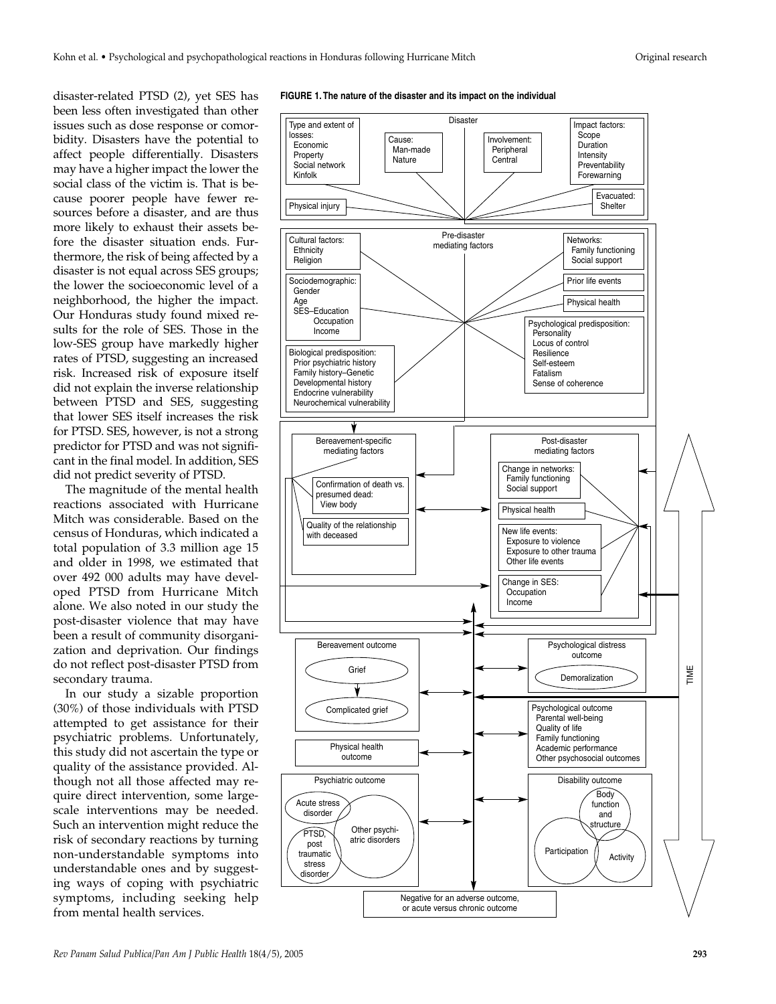disaster-related PTSD (2), yet SES has been less often investigated than other issues such as dose response or comorbidity. Disasters have the potential to affect people differentially. Disasters may have a higher impact the lower the social class of the victim is. That is because poorer people have fewer resources before a disaster, and are thus more likely to exhaust their assets before the disaster situation ends. Furthermore, the risk of being affected by a disaster is not equal across SES groups; the lower the socioeconomic level of a neighborhood, the higher the impact. Our Honduras study found mixed results for the role of SES. Those in the low-SES group have markedly higher rates of PTSD, suggesting an increased risk. Increased risk of exposure itself did not explain the inverse relationship between PTSD and SES, suggesting that lower SES itself increases the risk for PTSD. SES, however, is not a strong predictor for PTSD and was not significant in the final model. In addition, SES did not predict severity of PTSD.

The magnitude of the mental health reactions associated with Hurricane Mitch was considerable. Based on the census of Honduras, which indicated a total population of 3.3 million age 15 and older in 1998, we estimated that over 492 000 adults may have developed PTSD from Hurricane Mitch alone. We also noted in our study the post-disaster violence that may have been a result of community disorganization and deprivation. Our findings do not reflect post-disaster PTSD from secondary trauma.

In our study a sizable proportion (30%) of those individuals with PTSD attempted to get assistance for their psychiatric problems. Unfortunately, this study did not ascertain the type or quality of the assistance provided. Although not all those affected may require direct intervention, some largescale interventions may be needed. Such an intervention might reduce the risk of secondary reactions by turning non-understandable symptoms into understandable ones and by suggesting ways of coping with psychiatric symptoms, including seeking help from mental health services.

#### **FIGURE 1. The nature of the disaster and its impact on the individual**

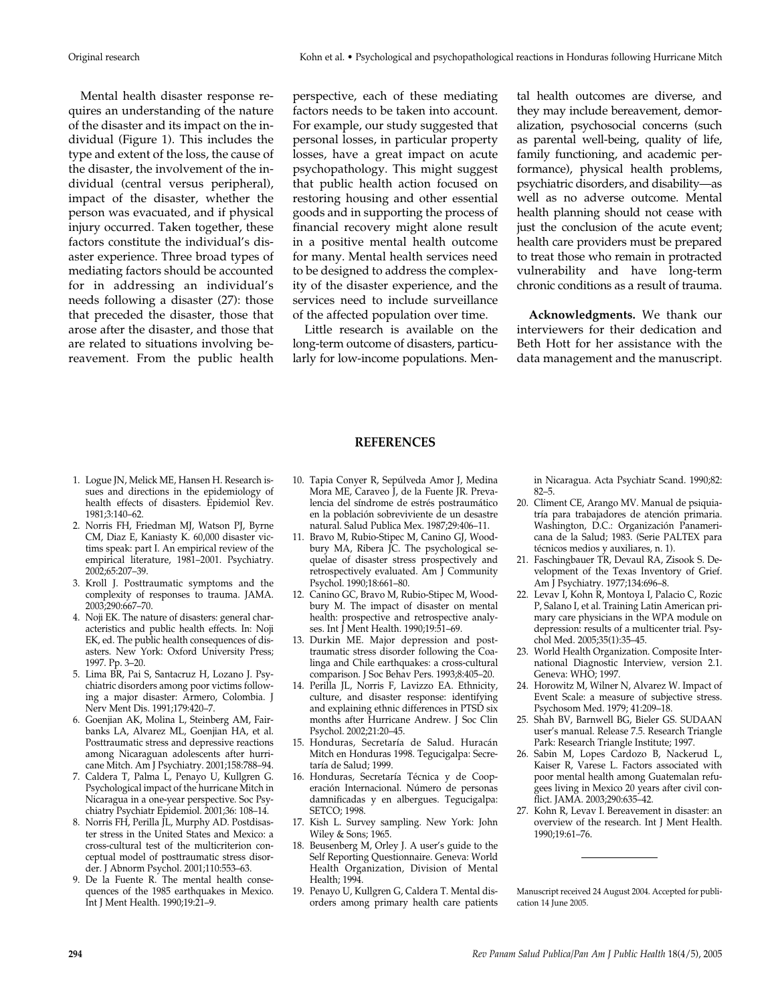Mental health disaster response requires an understanding of the nature of the disaster and its impact on the individual (Figure 1). This includes the type and extent of the loss, the cause of the disaster, the involvement of the individual (central versus peripheral), impact of the disaster, whether the person was evacuated, and if physical injury occurred. Taken together, these factors constitute the individual's disaster experience. Three broad types of mediating factors should be accounted for in addressing an individual's needs following a disaster (27): those that preceded the disaster, those that arose after the disaster, and those that are related to situations involving bereavement. From the public health

perspective, each of these mediating factors needs to be taken into account. For example, our study suggested that personal losses, in particular property losses, have a great impact on acute psychopathology. This might suggest that public health action focused on restoring housing and other essential goods and in supporting the process of financial recovery might alone result in a positive mental health outcome for many. Mental health services need to be designed to address the complexity of the disaster experience, and the services need to include surveillance of the affected population over time.

Little research is available on the long-term outcome of disasters, particularly for low-income populations. Mental health outcomes are diverse, and they may include bereavement, demoralization, psychosocial concerns (such as parental well-being, quality of life, family functioning, and academic performance), physical health problems, psychiatric disorders, and disability—as well as no adverse outcome. Mental health planning should not cease with just the conclusion of the acute event; health care providers must be prepared to treat those who remain in protracted vulnerability and have long-term chronic conditions as a result of trauma.

**Acknowledgments.** We thank our interviewers for their dedication and Beth Hott for her assistance with the data management and the manuscript.

#### **REFERENCES**

- 1. Logue JN, Melick ME, Hansen H. Research issues and directions in the epidemiology of health effects of disasters. Epidemiol Rev. 1981;3:140–62.
- 2. Norris FH, Friedman MJ, Watson PJ, Byrne CM, Diaz E, Kaniasty K. 60,000 disaster victims speak: part I. An empirical review of the empirical literature, 1981–2001. Psychiatry. 2002;65:207–39.
- 3. Kroll J. Posttraumatic symptoms and the complexity of responses to trauma. JAMA. 2003;290:667–70.
- 4. Noji EK. The nature of disasters: general characteristics and public health effects. In: Noji EK, ed. The public health consequences of disasters. New York: Oxford University Press; 1997. Pp. 3–20.
- 5. Lima BR, Pai S, Santacruz H, Lozano J. Psychiatric disorders among poor victims following a major disaster: Armero, Colombia. J Nerv Ment Dis. 1991;179:420–7.
- 6. Goenjian AK, Molina L, Steinberg AM, Fairbanks LA, Alvarez ML, Goenjian HA, et al. Posttraumatic stress and depressive reactions among Nicaraguan adolescents after hurricane Mitch. Am J Psychiatry. 2001;158:788–94.
- 7. Caldera T, Palma L, Penayo U, Kullgren G. Psychological impact of the hurricane Mitch in Nicaragua in a one-year perspective. Soc Psychiatry Psychiatr Epidemiol. 2001;36: 108–14.
- 8. Norris FH, Perilla JL, Murphy AD. Postdisaster stress in the United States and Mexico: a cross-cultural test of the multicriterion conceptual model of posttraumatic stress disorder. J Abnorm Psychol. 2001;110:553–63.
- 9. De la Fuente R. The mental health consequences of the 1985 earthquakes in Mexico. Int J Ment Health. 1990;19:21–9.
- 10. Tapia Conyer R, Sepúlveda Amor J, Medina Mora ME, Caraveo J, de la Fuente JR. Prevalencia del síndrome de estrés postraumático en la población sobreviviente de un desastre natural. Salud Publica Mex. 1987;29:406–11.
- 11. Bravo M, Rubio-Stipec M, Canino GJ, Woodbury MA, Ribera JC. The psychological sequelae of disaster stress prospectively and retrospectively evaluated. Am J Community Psychol. 1990;18:661–80.
- 12. Canino GC, Bravo M, Rubio-Stipec M, Woodbury M. The impact of disaster on mental health: prospective and retrospective analyses. Int J Ment Health. 1990;19:51–69.
- 13. Durkin ME. Major depression and posttraumatic stress disorder following the Coalinga and Chile earthquakes: a cross-cultural comparison. J Soc Behav Pers. 1993;8:405–20.
- 14. Perilla JL, Norris F, Lavizzo EA. Ethnicity, culture, and disaster response: identifying and explaining ethnic differences in PTSD six months after Hurricane Andrew. J Soc Clin Psychol. 2002;21:20–45.
- 15. Honduras, Secretaría de Salud. Huracán Mitch en Honduras 1998. Tegucigalpa: Secretaría de Salud; 1999.
- 16. Honduras, Secretaría Técnica y de Cooperación Internacional. Número de personas damnificadas y en albergues. Tegucigalpa: SETCO; 1998.
- 17. Kish L. Survey sampling. New York: John Wiley & Sons; 1965.
- 18. Beusenberg M, Orley J. A user's guide to the Self Reporting Questionnaire. Geneva: World Health Organization, Division of Mental Health; 1994.
- 19. Penayo U, Kullgren G, Caldera T. Mental disorders among primary health care patients

in Nicaragua. Acta Psychiatr Scand. 1990;82: 82–5.

- 20. Climent CE, Arango MV. Manual de psiquiatría para trabajadores de atención primaria. Washington, D.C.: Organización Panamericana de la Salud; 1983. (Serie PALTEX para técnicos medios y auxiliares, n. 1).
- 21. Faschingbauer TR, Devaul RA, Zisook S. Development of the Texas Inventory of Grief. Am J Psychiatry. 1977;134:696–8.
- 22. Levav I, Kohn R, Montoya I, Palacio C, Rozic P, Salano I, et al. Training Latin American primary care physicians in the WPA module on depression: results of a multicenter trial. Psychol Med. 2005;35(1):35–45.
- 23. World Health Organization. Composite International Diagnostic Interview, version 2.1. Geneva: WHO; 1997.
- 24. Horowitz M, Wilner N, Alvarez W. Impact of Event Scale: a measure of subjective stress. Psychosom Med. 1979; 41:209–18.
- 25. Shah BV, Barnwell BG, Bieler GS. SUDAAN user's manual. Release 7.5. Research Triangle Park: Research Triangle Institute; 1997.
- 26. Sabin M, Lopes Cardozo B, Nackerud L, Kaiser R, Varese L. Factors associated with poor mental health among Guatemalan refugees living in Mexico 20 years after civil conflict. JAMA. 2003;290:635–42.
- 27. Kohn R, Levav I. Bereavement in disaster: an overview of the research. Int J Ment Health. 1990;19:61–76.

Manuscript received 24 August 2004. Accepted for publication 14 June 2005.